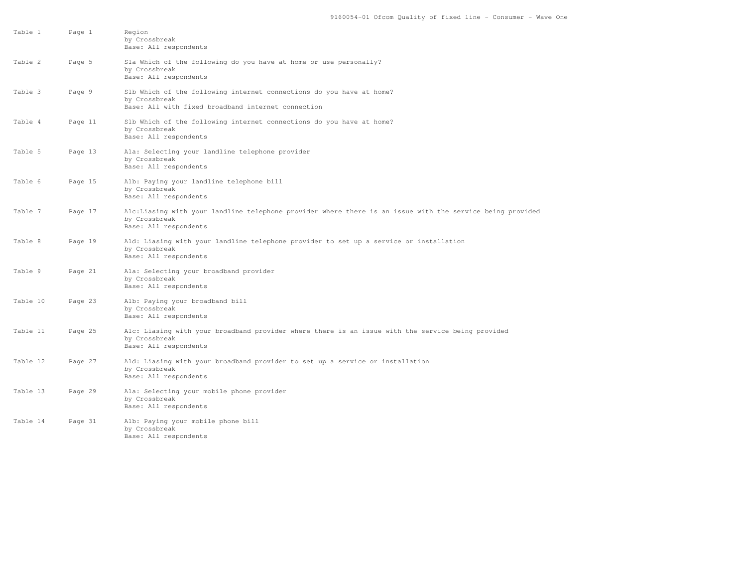| Table 1  | Page 1  | Region<br>by Crossbreak<br>Base: All respondents                                                                                                    |
|----------|---------|-----------------------------------------------------------------------------------------------------------------------------------------------------|
| Table 2  | Page 5  | Sla Which of the following do you have at home or use personally?<br>by Crossbreak<br>Base: All respondents                                         |
| Table 3  | Page 9  | Slb Which of the following internet connections do you have at home?<br>by Crossbreak<br>Base: All with fixed broadband internet connection         |
| Table 4  | Page 11 | S1b Which of the following internet connections do you have at home?<br>by Crossbreak<br>Base: All respondents                                      |
| Table 5  | Page 13 | Ala: Selecting your landline telephone provider<br>by Crossbreak<br>Base: All respondents                                                           |
| Table 6  | Page 15 | Alb: Paying your landline telephone bill<br>by Crossbreak<br>Base: All respondents                                                                  |
| Table 7  | Page 17 | Alc:Liasing with your landline telephone provider where there is an issue with the service being provided<br>by Crossbreak<br>Base: All respondents |
| Table 8  | Page 19 | Ald: Liasing with your landline telephone provider to set up a service or installation<br>by Crossbreak<br>Base: All respondents                    |
| Table 9  | Page 21 | Ala: Selecting your broadband provider<br>by Crossbreak<br>Base: All respondents                                                                    |
| Table 10 | Page 23 | Alb: Paying your broadband bill<br>by Crossbreak<br>Base: All respondents                                                                           |
| Table 11 | Page 25 | Alc: Liasing with your broadband provider where there is an issue with the service being provided<br>by Crossbreak<br>Base: All respondents         |
| Table 12 | Page 27 | Ald: Liasing with your broadband provider to set up a service or installation<br>by Crossbreak<br>Base: All respondents                             |
| Table 13 | Page 29 | Ala: Selecting your mobile phone provider<br>by Crossbreak<br>Base: All respondents                                                                 |
| Table 14 | Page 31 | Alb: Paying your mobile phone bill<br>by Crossbreak<br>Base: All respondents                                                                        |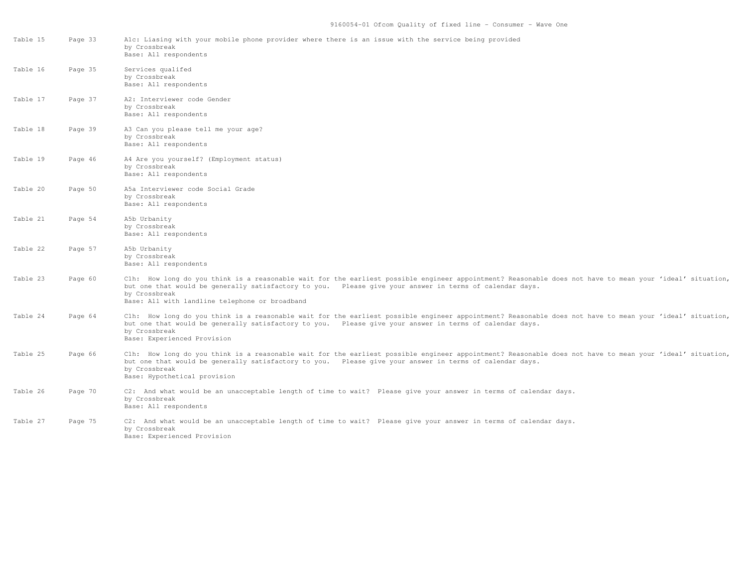| Table 15 | Page 33 | Alc: Liasing with your mobile phone provider where there is an issue with the service being provided<br>by Crossbreak<br>Base: All respondents                                                                                                                                                                                         |
|----------|---------|----------------------------------------------------------------------------------------------------------------------------------------------------------------------------------------------------------------------------------------------------------------------------------------------------------------------------------------|
| Table 16 | Page 35 | Services qualifed<br>by Crossbreak<br>Base: All respondents                                                                                                                                                                                                                                                                            |
| Table 17 | Page 37 | A2: Interviewer code Gender<br>by Crossbreak<br>Base: All respondents                                                                                                                                                                                                                                                                  |
| Table 18 | Page 39 | A3 Can you please tell me your age?<br>by Crossbreak<br>Base: All respondents                                                                                                                                                                                                                                                          |
| Table 19 | Page 46 | A4 Are you yourself? (Employment status)<br>by Crossbreak<br>Base: All respondents                                                                                                                                                                                                                                                     |
| Table 20 | Page 50 | A5a Interviewer code Social Grade<br>by Crossbreak<br>Base: All respondents                                                                                                                                                                                                                                                            |
| Table 21 | Page 54 | A5b Urbanity<br>by Crossbreak<br>Base: All respondents                                                                                                                                                                                                                                                                                 |
| Table 22 | Page 57 | A5b Urbanity<br>by Crossbreak<br>Base: All respondents                                                                                                                                                                                                                                                                                 |
| Table 23 | Page 60 | Clh: How long do you think is a reasonable wait for the earliest possible engineer appointment? Reasonable does not have to mean your 'ideal' situation,<br>but one that would be generally satisfactory to you. Please give your answer in terms of calendar days.<br>by Crossbreak<br>Base: All with landline telephone or broadband |
| Table 24 | Page 64 | Clh: How long do you think is a reasonable wait for the earliest possible engineer appointment? Reasonable does not have to mean your 'ideal' situation,<br>but one that would be generally satisfactory to you. Please give your answer in terms of calendar days.<br>by Crossbreak<br>Base: Experienced Provision                    |
| Table 25 | Page 66 | Clh: How long do you think is a reasonable wait for the earliest possible engineer appointment? Reasonable does not have to mean your 'ideal' situation,<br>but one that would be generally satisfactory to you. Please give your answer in terms of calendar days.<br>by Crossbreak<br>Base: Hypothetical provision                   |
| Table 26 | Page 70 | C2: And what would be an unacceptable length of time to wait? Please give your answer in terms of calendar days.<br>by Crossbreak<br>Base: All respondents                                                                                                                                                                             |
| Table 27 | Page 75 | C2: And what would be an unacceptable length of time to wait? Please give your answer in terms of calendar days.<br>by Crossbreak<br>Base: Experienced Provision                                                                                                                                                                       |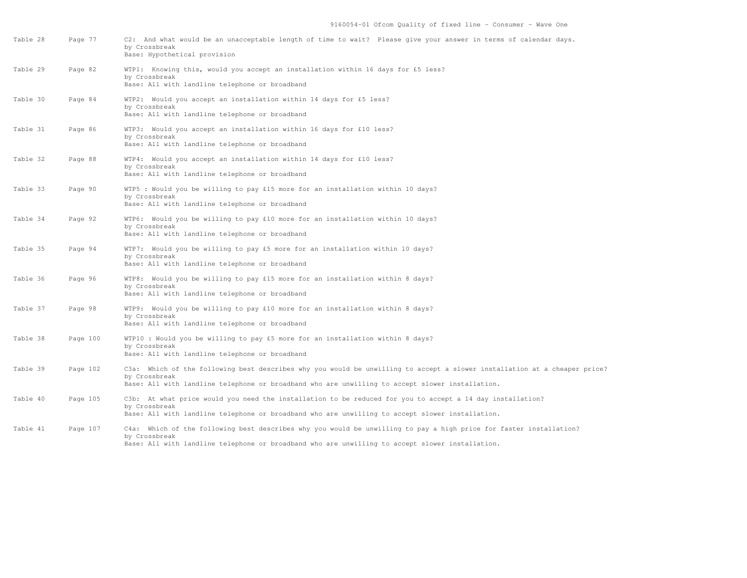| Table 28 | Page 77  | C2: And what would be an unacceptable length of time to wait? Please give your answer in terms of calendar days.<br>by Crossbreak<br>Base: Hypothetical provision                                                                             |
|----------|----------|-----------------------------------------------------------------------------------------------------------------------------------------------------------------------------------------------------------------------------------------------|
| Table 29 | Page 82  | WTP1: Knowing this, would you accept an installation within 16 days for £5 less?<br>by Crossbreak<br>Base: All with landline telephone or broadband                                                                                           |
| Table 30 | Page 84  | WTP2: Would you accept an installation within 14 days for £5 less?<br>by Crossbreak<br>Base: All with landline telephone or broadband                                                                                                         |
| Table 31 | Page 86  | WTP3: Would you accept an installation within 16 days for £10 less?<br>by Crossbreak<br>Base: All with landline telephone or broadband                                                                                                        |
| Table 32 | Page 88  | WTP4: Would you accept an installation within 14 days for £10 less?<br>by Crossbreak<br>Base: All with landline telephone or broadband                                                                                                        |
| Table 33 | Page 90  | WTP5 : Would you be willing to pay £15 more for an installation within 10 days?<br>by Crossbreak<br>Base: All with landline telephone or broadband                                                                                            |
| Table 34 | Page 92  | WTP6: Would you be willing to pay £10 more for an installation within 10 days?<br>by Crossbreak<br>Base: All with landline telephone or broadband                                                                                             |
| Table 35 | Page 94  | WTP7: Would you be willing to pay £5 more for an installation within 10 days?<br>by Crossbreak<br>Base: All with landline telephone or broadband                                                                                              |
| Table 36 | Page 96  | WTP8: Would you be willing to pay £15 more for an installation within 8 days?<br>by Crossbreak<br>Base: All with landline telephone or broadband                                                                                              |
| Table 37 | Page 98  | WTP9: Would you be willing to pay £10 more for an installation within 8 days?<br>by Crossbreak<br>Base: All with landline telephone or broadband                                                                                              |
| Table 38 | Page 100 | WTP10 : Would you be willing to pay £5 more for an installation within 8 days?<br>by Crossbreak<br>Base: All with landline telephone or broadband                                                                                             |
| Table 39 | Page 102 | C3a: Which of the following best describes why you would be unwilling to accept a slower installation at a cheaper price?<br>by Crossbreak<br>Base: All with landline telephone or broadband who are unwilling to accept slower installation. |
| Table 40 | Page 105 | C3b: At what price would you need the installation to be reduced for you to accept a 14 day installation?<br>by Crossbreak<br>Base: All with landline telephone or broadband who are unwilling to accept slower installation.                 |
| Table 41 | Page 107 | C4a: Which of the following best describes why you would be unwilling to pay a high price for faster installation?<br>by Crossbreak<br>Base: All with landline telephone or broadband who are unwilling to accept slower installation.        |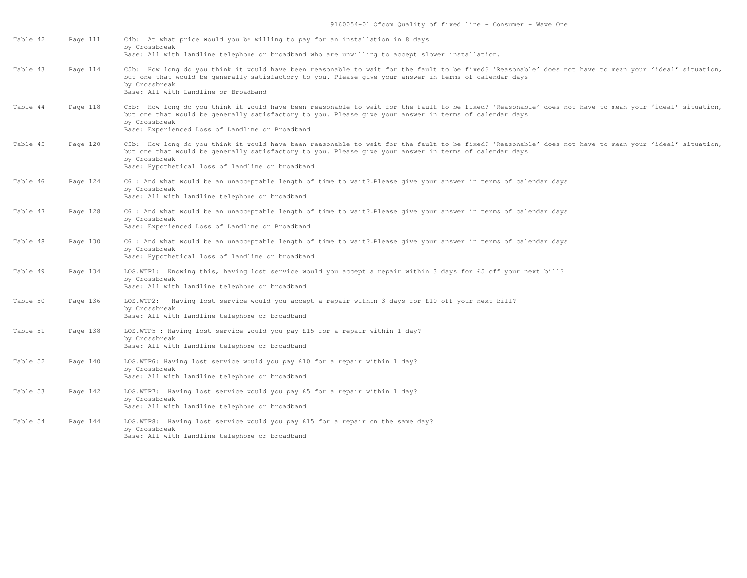| Table 42 | Page 111 | C4b: At what price would you be willing to pay for an installation in 8 days<br>by Crossbreak<br>Base: All with landline telephone or broadband who are unwilling to accept slower installation.                                                                                                                                      |
|----------|----------|---------------------------------------------------------------------------------------------------------------------------------------------------------------------------------------------------------------------------------------------------------------------------------------------------------------------------------------|
| Table 43 | Page 114 | C5b: How long do you think it would have been reasonable to wait for the fault to be fixed? 'Reasonable' does not have to mean your 'ideal' situation,<br>but one that would be generally satisfactory to you. Please give your answer in terms of calendar days<br>by Crossbreak<br>Base: All with Landline or Broadband             |
| Table 44 | Page 118 | C5b: How long do you think it would have been reasonable to wait for the fault to be fixed? 'Reasonable' does not have to mean your 'ideal' situation,<br>but one that would be generally satisfactory to you. Please give your answer in terms of calendar days<br>by Crossbreak<br>Base: Experienced Loss of Landline or Broadband  |
| Table 45 | Page 120 | C5b: How long do you think it would have been reasonable to wait for the fault to be fixed? 'Reasonable' does not have to mean your 'ideal' situation,<br>but one that would be generally satisfactory to you. Please give your answer in terms of calendar days<br>by Crossbreak<br>Base: Hypothetical loss of landline or broadband |
| Table 46 | Page 124 | C6 : And what would be an unacceptable length of time to wait? Please give your answer in terms of calendar days<br>by Crossbreak<br>Base: All with landline telephone or broadband                                                                                                                                                   |
| Table 47 | Page 128 | C6 : And what would be an unacceptable length of time to wait? Please give your answer in terms of calendar days<br>by Crossbreak<br>Base: Experienced Loss of Landline or Broadband                                                                                                                                                  |
| Table 48 | Page 130 | C6 : And what would be an unacceptable length of time to wait?.Please give your answer in terms of calendar days<br>by Crossbreak<br>Base: Hypothetical loss of landline or broadband                                                                                                                                                 |
| Table 49 | Page 134 | LOS.WTP1: Knowing this, having lost service would you accept a repair within 3 days for £5 off your next bill?<br>by Crossbreak<br>Base: All with landline telephone or broadband                                                                                                                                                     |
| Table 50 | Page 136 | LOS.WTP2: Having lost service would you accept a repair within 3 days for £10 off your next bill?<br>by Crossbreak<br>Base: All with landline telephone or broadband                                                                                                                                                                  |
| Table 51 | Page 138 | LOS.WTP5 : Having lost service would you pay £15 for a repair within 1 day?<br>by Crossbreak<br>Base: All with landline telephone or broadband                                                                                                                                                                                        |
| Table 52 | Page 140 | LOS.WTP6: Having lost service would you pay £10 for a repair within 1 day?<br>by Crossbreak<br>Base: All with landline telephone or broadband                                                                                                                                                                                         |
| Table 53 | Page 142 | LOS.WTP7: Having lost service would you pay £5 for a repair within 1 day?<br>by Crossbreak<br>Base: All with landline telephone or broadband                                                                                                                                                                                          |
| Table 54 | Page 144 | LOS.WTP8: Having lost service would you pay £15 for a repair on the same day?<br>by Crossbreak<br>Base: All with landline telephone or broadband                                                                                                                                                                                      |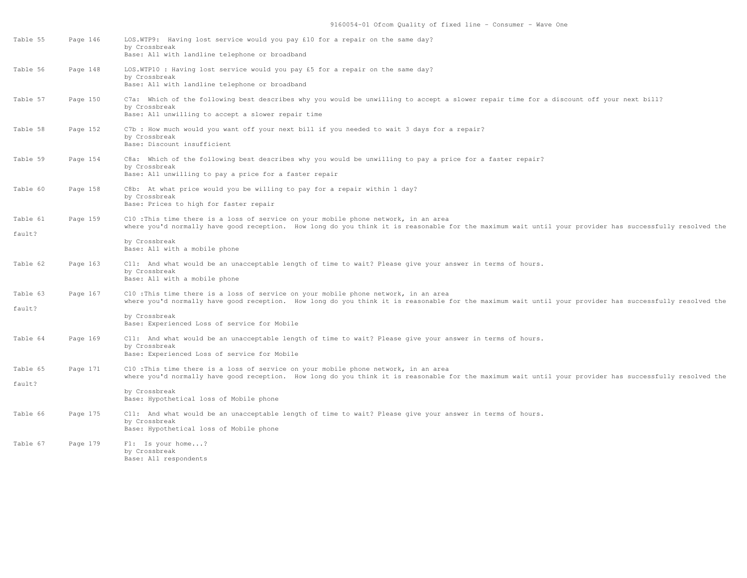| Table 55 | Page 146 | LOS.WTP9: Having lost service would you pay £10 for a repair on the same day?<br>by Crossbreak<br>Base: All with landline telephone or broadband                                                                                               |
|----------|----------|------------------------------------------------------------------------------------------------------------------------------------------------------------------------------------------------------------------------------------------------|
| Table 56 | Page 148 | LOS.WTP10 : Having lost service would you pay £5 for a repair on the same day?<br>by Crossbreak<br>Base: All with landline telephone or broadband                                                                                              |
| Table 57 | Page 150 | C7a: Which of the following best describes why you would be unwilling to accept a slower repair time for a discount off your next bill?<br>by Crossbreak<br>Base: All unwilling to accept a slower repair time                                 |
| Table 58 | Page 152 | C7b: How much would you want off your next bill if you needed to wait 3 days for a repair?<br>by Crossbreak<br>Base: Discount insufficient                                                                                                     |
| Table 59 | Page 154 | C8a: Which of the following best describes why you would be unwilling to pay a price for a faster repair?<br>by Crossbreak<br>Base: All unwilling to pay a price for a faster repair                                                           |
| Table 60 | Page 158 | C8b: At what price would you be willing to pay for a repair within 1 day?<br>by Crossbreak<br>Base: Prices to high for faster repair                                                                                                           |
| Table 61 | Page 159 | C10 :This time there is a loss of service on your mobile phone network, in an area<br>where you'd normally have good reception. How long do you think it is reasonable for the maximum wait until your provider has successfully resolved the  |
| fault?   |          | by Crossbreak<br>Base: All with a mobile phone                                                                                                                                                                                                 |
| Table 62 | Page 163 | C11: And what would be an unacceptable length of time to wait? Please give your answer in terms of hours.<br>by Crossbreak<br>Base: All with a mobile phone                                                                                    |
| Table 63 | Page 167 | C10 :This time there is a loss of service on your mobile phone network, in an area<br>where you'd normally have good reception. How long do you think it is reasonable for the maximum wait until your provider has successfully resolved the  |
| fault?   |          | by Crossbreak<br>Base: Experienced Loss of service for Mobile                                                                                                                                                                                  |
| Table 64 | Page 169 | C11: And what would be an unacceptable length of time to wait? Please give your answer in terms of hours.<br>by Crossbreak<br>Base: Experienced Loss of service for Mobile                                                                     |
| Table 65 | Page 171 | C10 : This time there is a loss of service on your mobile phone network, in an area<br>where you'd normally have good reception. How long do you think it is reasonable for the maximum wait until your provider has successfully resolved the |
| fault?   |          | by Crossbreak<br>Base: Hypothetical loss of Mobile phone                                                                                                                                                                                       |
| Table 66 | Page 175 | C11: And what would be an unacceptable length of time to wait? Please give your answer in terms of hours.<br>by Crossbreak<br>Base: Hypothetical loss of Mobile phone                                                                          |
| Table 67 | Page 179 | F1: Is your home?<br>by Crossbreak<br>Base: All respondents                                                                                                                                                                                    |